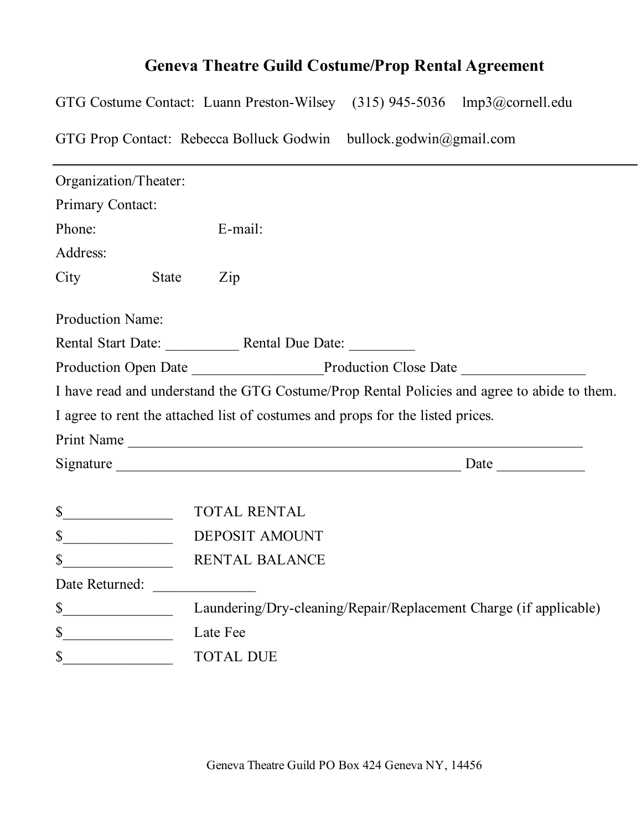## **Geneva Theatre Guild Costume/Prop Rental Agreement**

GTG Costume Contact: Luann Preston-Wilsey (315) 945-5036 lmp3@cornell.edu GTG Prop Contact: Rebecca Bolluck Godwin bullock.godwin@gmail.com

| Organization/Theater:   |       |                                                                                             |
|-------------------------|-------|---------------------------------------------------------------------------------------------|
| Primary Contact:        |       |                                                                                             |
| Phone:                  |       | E-mail:                                                                                     |
| Address:                |       |                                                                                             |
| City                    | State | $\mathop{\mathrm{Zip}}\nolimits$                                                            |
| <b>Production Name:</b> |       |                                                                                             |
|                         |       |                                                                                             |
|                         |       | Production Open Date Production Close Date Production Close Date                            |
|                         |       | I have read and understand the GTG Costume/Prop Rental Policies and agree to abide to them. |
|                         |       | I agree to rent the attached list of costumes and props for the listed prices.              |
|                         |       | Print Name                                                                                  |
|                         |       |                                                                                             |
| $\mathbb{S}$            |       | <b>TOTAL RENTAL</b>                                                                         |
| $\mathbb{S}$            |       | DEPOSIT AMOUNT                                                                              |
| $\mathbb{S}$            |       | <b>RENTAL BALANCE</b>                                                                       |
| Date Returned:          |       |                                                                                             |
| $\mathbb{S}$            |       | Laundering/Dry-cleaning/Repair/Replacement Charge (if applicable)                           |
| $\mathbb{S}$            |       | Late Fee                                                                                    |
| \$                      |       | <b>TOTAL DUE</b>                                                                            |
|                         |       |                                                                                             |